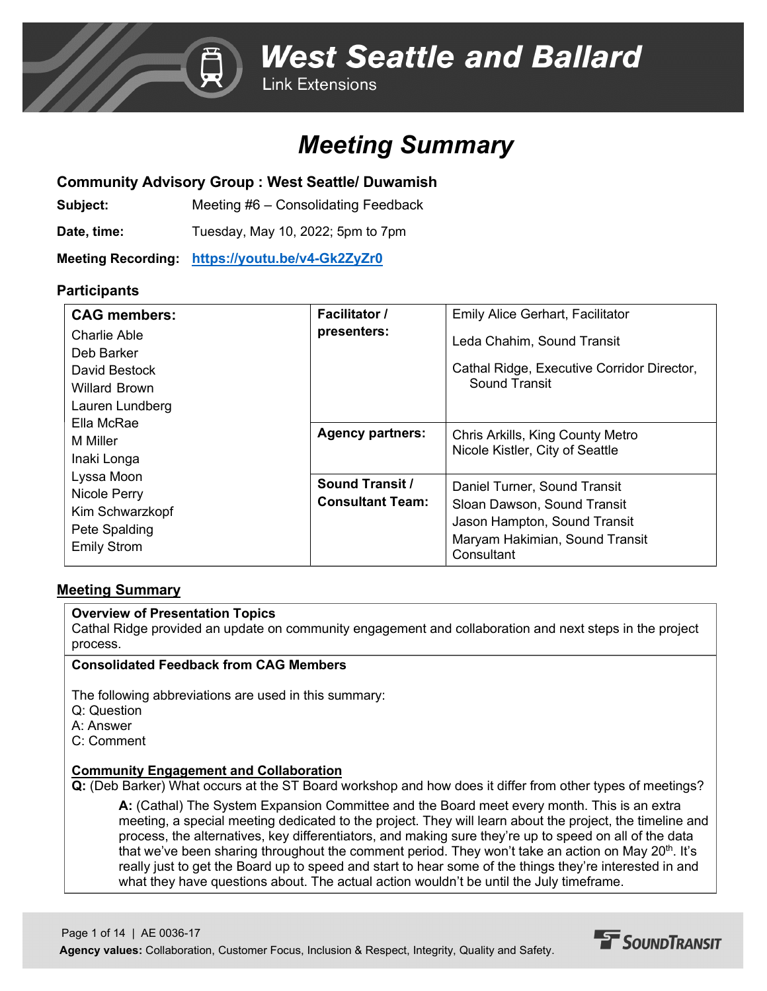## *Meeting Summary*

### **Community Advisory Group : West Seattle/ Duwamish**

**Subject:** Meeting #6 – Consolidating Feedback

**Date, time:** Tuesday, May 10, 2022; 5pm to 7pm

**Meeting Recording: [https://youtu.be/v4-Gk2ZyZr0](https://nam12.safelinks.protection.outlook.com/?url=https%3A%2F%2Fyoutu.be%2Fv4-Gk2ZyZr0&data=05%7C01%7CA.Davis%40fehrandpeers.com%7Cb24778e9e82347b29bfb08da2327f277%7C087dca4b49c742c6a76649a3f29fc3f4%7C1%7C0%7C637860951745710406%7CUnknown%7CTWFpbGZsb3d8eyJWIjoiMC4wLjAwMDAiLCJQIjoiV2luMzIiLCJBTiI6Ik1haWwiLCJXVCI6Mn0%3D%7C3000%7C%7C%7C&sdata=DSImeesgSxzyaiUAuL5kbPoH2bC6j0fpExJQaWifp2M%3D&reserved=0)**

### **Participants**

| <b>CAG</b> members: | <b>Facilitator</b> /    | <b>Emily Alice Gerhart, Facilitator</b>    |
|---------------------|-------------------------|--------------------------------------------|
| Charlie Able        | presenters:             | Leda Chahim, Sound Transit                 |
| Deb Barker          |                         |                                            |
| David Bestock       |                         | Cathal Ridge, Executive Corridor Director, |
| Willard Brown       |                         | Sound Transit                              |
| Lauren Lundberg     |                         |                                            |
| Ella McRae          |                         |                                            |
| M Miller            | <b>Agency partners:</b> | Chris Arkills, King County Metro           |
| Inaki Longa         |                         | Nicole Kistler, City of Seattle            |
| Lyssa Moon          | <b>Sound Transit /</b>  |                                            |
| Nicole Perry        |                         | Daniel Turner, Sound Transit               |
| Kim Schwarzkopf     | <b>Consultant Team:</b> | Sloan Dawson, Sound Transit                |
|                     |                         | Jason Hampton, Sound Transit               |
| Pete Spalding       |                         | Maryam Hakimian, Sound Transit             |
| <b>Emily Strom</b>  |                         | Consultant                                 |

### **Meeting Summary**

### **Overview of Presentation Topics**

Cathal Ridge provided an update on community engagement and collaboration and next steps in the project process.

### **Consolidated Feedback from CAG Members**

The following abbreviations are used in this summary:

- Q: Question
- A: Answer
- C: Comment

### **Community Engagement and Collaboration**

**Q:** (Deb Barker) What occurs at the ST Board workshop and how does it differ from other types of meetings?

**A:** (Cathal) The System Expansion Committee and the Board meet every month. This is an extra meeting, a special meeting dedicated to the project. They will learn about the project, the timeline and process, the alternatives, key differentiators, and making sure they're up to speed on all of the data that we've been sharing throughout the comment period. They won't take an action on May 20<sup>th</sup>. It's really just to get the Board up to speed and start to hear some of the things they're interested in and what they have questions about. The actual action wouldn't be until the July timeframe.

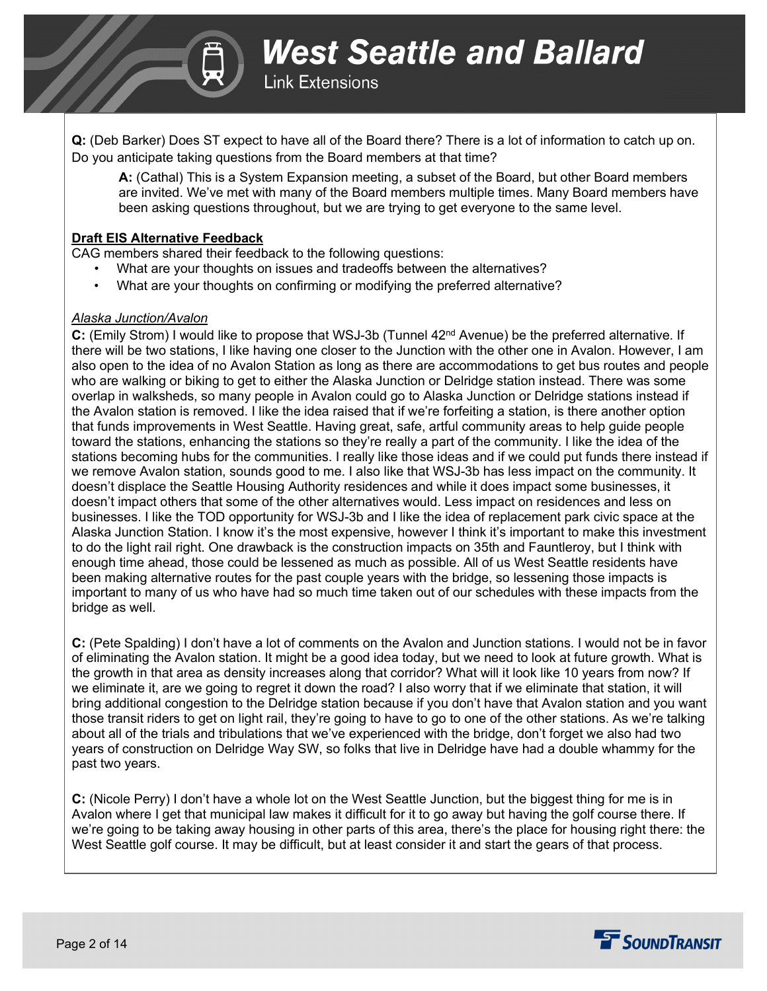

**Q:** (Deb Barker) Does ST expect to have all of the Board there? There is a lot of information to catch up on. Do you anticipate taking questions from the Board members at that time?

**A:** (Cathal) This is a System Expansion meeting, a subset of the Board, but other Board members are invited. We've met with many of the Board members multiple times. Many Board members have been asking questions throughout, but we are trying to get everyone to the same level.

#### **Draft EIS Alternative Feedback**

CAG members shared their feedback to the following questions:

- What are your thoughts on issues and tradeoffs between the alternatives?
- What are your thoughts on confirming or modifying the preferred alternative?

#### *Alaska Junction/Avalon*

**C:** (Emily Strom) I would like to propose that WSJ-3b (Tunnel 42<sup>nd</sup> Avenue) be the preferred alternative. If there will be two stations, I like having one closer to the Junction with the other one in Avalon. However, I am also open to the idea of no Avalon Station as long as there are accommodations to get bus routes and people who are walking or biking to get to either the Alaska Junction or Delridge station instead. There was some overlap in walksheds, so many people in Avalon could go to Alaska Junction or Delridge stations instead if the Avalon station is removed. I like the idea raised that if we're forfeiting a station, is there another option that funds improvements in West Seattle. Having great, safe, artful community areas to help guide people toward the stations, enhancing the stations so they're really a part of the community. I like the idea of the stations becoming hubs for the communities. I really like those ideas and if we could put funds there instead if we remove Avalon station, sounds good to me. I also like that WSJ-3b has less impact on the community. It doesn't displace the Seattle Housing Authority residences and while it does impact some businesses, it doesn't impact others that some of the other alternatives would. Less impact on residences and less on businesses. I like the TOD opportunity for WSJ-3b and I like the idea of replacement park civic space at the Alaska Junction Station. I know it's the most expensive, however I think it's important to make this investment to do the light rail right. One drawback is the construction impacts on 35th and Fauntleroy, but I think with enough time ahead, those could be lessened as much as possible. All of us West Seattle residents have been making alternative routes for the past couple years with the bridge, so lessening those impacts is important to many of us who have had so much time taken out of our schedules with these impacts from the bridge as well.

**C:** (Pete Spalding) I don't have a lot of comments on the Avalon and Junction stations. I would not be in favor of eliminating the Avalon station. It might be a good idea today, but we need to look at future growth. What is the growth in that area as density increases along that corridor? What will it look like 10 years from now? If we eliminate it, are we going to regret it down the road? I also worry that if we eliminate that station, it will bring additional congestion to the Delridge station because if you don't have that Avalon station and you want those transit riders to get on light rail, they're going to have to go to one of the other stations. As we're talking about all of the trials and tribulations that we've experienced with the bridge, don't forget we also had two years of construction on Delridge Way SW, so folks that live in Delridge have had a double whammy for the past two years.

**C:** (Nicole Perry) I don't have a whole lot on the West Seattle Junction, but the biggest thing for me is in Avalon where I get that municipal law makes it difficult for it to go away but having the golf course there. If we're going to be taking away housing in other parts of this area, there's the place for housing right there: the West Seattle golf course. It may be difficult, but at least consider it and start the gears of that process.

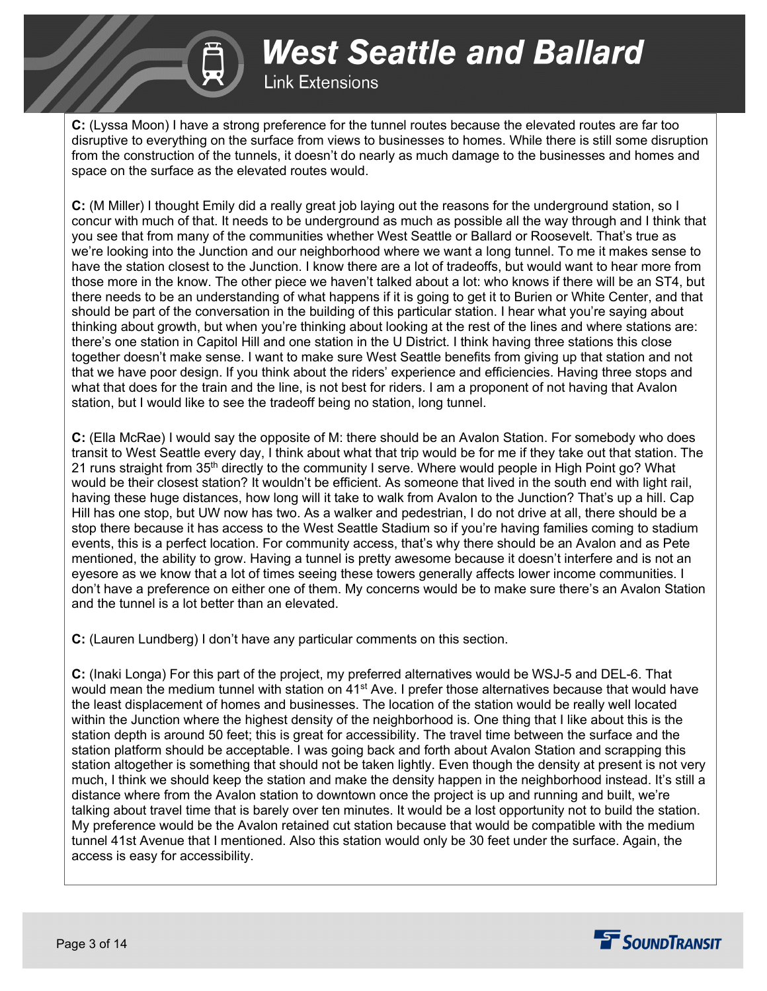**Link Extensions** 

**C:** (Lyssa Moon) I have a strong preference for the tunnel routes because the elevated routes are far too disruptive to everything on the surface from views to businesses to homes. While there is still some disruption from the construction of the tunnels, it doesn't do nearly as much damage to the businesses and homes and space on the surface as the elevated routes would.

**C:** (M Miller) I thought Emily did a really great job laying out the reasons for the underground station, so I concur with much of that. It needs to be underground as much as possible all the way through and I think that you see that from many of the communities whether West Seattle or Ballard or Roosevelt. That's true as we're looking into the Junction and our neighborhood where we want a long tunnel. To me it makes sense to have the station closest to the Junction. I know there are a lot of tradeoffs, but would want to hear more from those more in the know. The other piece we haven't talked about a lot: who knows if there will be an ST4, but there needs to be an understanding of what happens if it is going to get it to Burien or White Center, and that should be part of the conversation in the building of this particular station. I hear what you're saying about thinking about growth, but when you're thinking about looking at the rest of the lines and where stations are: there's one station in Capitol Hill and one station in the U District. I think having three stations this close together doesn't make sense. I want to make sure West Seattle benefits from giving up that station and not that we have poor design. If you think about the riders' experience and efficiencies. Having three stops and what that does for the train and the line, is not best for riders. I am a proponent of not having that Avalon station, but I would like to see the tradeoff being no station, long tunnel.

**C:** (Ella McRae) I would say the opposite of M: there should be an Avalon Station. For somebody who does transit to West Seattle every day, I think about what that trip would be for me if they take out that station. The 21 runs straight from 35<sup>th</sup> directly to the community I serve. Where would people in High Point go? What would be their closest station? It wouldn't be efficient. As someone that lived in the south end with light rail, having these huge distances, how long will it take to walk from Avalon to the Junction? That's up a hill. Cap Hill has one stop, but UW now has two. As a walker and pedestrian, I do not drive at all, there should be a stop there because it has access to the West Seattle Stadium so if you're having families coming to stadium events, this is a perfect location. For community access, that's why there should be an Avalon and as Pete mentioned, the ability to grow. Having a tunnel is pretty awesome because it doesn't interfere and is not an eyesore as we know that a lot of times seeing these towers generally affects lower income communities. I don't have a preference on either one of them. My concerns would be to make sure there's an Avalon Station and the tunnel is a lot better than an elevated.

**C:** (Lauren Lundberg) I don't have any particular comments on this section.

**C:** (Inaki Longa) For this part of the project, my preferred alternatives would be WSJ-5 and DEL-6. That would mean the medium tunnel with station on  $41<sup>st</sup>$  Ave. I prefer those alternatives because that would have the least displacement of homes and businesses. The location of the station would be really well located within the Junction where the highest density of the neighborhood is. One thing that I like about this is the station depth is around 50 feet; this is great for accessibility. The travel time between the surface and the station platform should be acceptable. I was going back and forth about Avalon Station and scrapping this station altogether is something that should not be taken lightly. Even though the density at present is not very much, I think we should keep the station and make the density happen in the neighborhood instead. It's still a distance where from the Avalon station to downtown once the project is up and running and built, we're talking about travel time that is barely over ten minutes. It would be a lost opportunity not to build the station. My preference would be the Avalon retained cut station because that would be compatible with the medium tunnel 41st Avenue that I mentioned. Also this station would only be 30 feet under the surface. Again, the access is easy for accessibility.

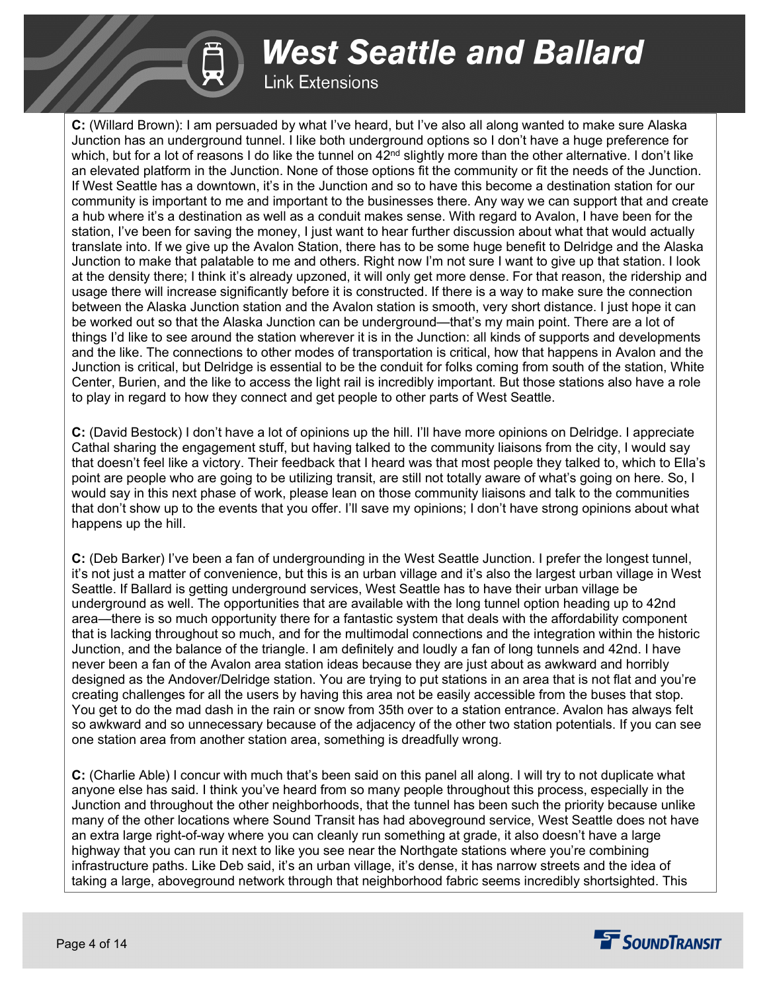**Link Extensions** 

**C:** (Willard Brown): I am persuaded by what I've heard, but I've also all along wanted to make sure Alaska Junction has an underground tunnel. I like both underground options so I don't have a huge preference for which, but for a lot of reasons I do like the tunnel on  $42<sup>nd</sup>$  slightly more than the other alternative. I don't like an elevated platform in the Junction. None of those options fit the community or fit the needs of the Junction. If West Seattle has a downtown, it's in the Junction and so to have this become a destination station for our community is important to me and important to the businesses there. Any way we can support that and create a hub where it's a destination as well as a conduit makes sense. With regard to Avalon, I have been for the station, I've been for saving the money, I just want to hear further discussion about what that would actually translate into. If we give up the Avalon Station, there has to be some huge benefit to Delridge and the Alaska Junction to make that palatable to me and others. Right now I'm not sure I want to give up that station. I look at the density there; I think it's already upzoned, it will only get more dense. For that reason, the ridership and usage there will increase significantly before it is constructed. If there is a way to make sure the connection between the Alaska Junction station and the Avalon station is smooth, very short distance. I just hope it can be worked out so that the Alaska Junction can be underground—that's my main point. There are a lot of things I'd like to see around the station wherever it is in the Junction: all kinds of supports and developments and the like. The connections to other modes of transportation is critical, how that happens in Avalon and the Junction is critical, but Delridge is essential to be the conduit for folks coming from south of the station, White Center, Burien, and the like to access the light rail is incredibly important. But those stations also have a role to play in regard to how they connect and get people to other parts of West Seattle.

**C:** (David Bestock) I don't have a lot of opinions up the hill. I'll have more opinions on Delridge. I appreciate Cathal sharing the engagement stuff, but having talked to the community liaisons from the city, I would say that doesn't feel like a victory. Their feedback that I heard was that most people they talked to, which to Ella's point are people who are going to be utilizing transit, are still not totally aware of what's going on here. So, I would say in this next phase of work, please lean on those community liaisons and talk to the communities that don't show up to the events that you offer. I'll save my opinions; I don't have strong opinions about what happens up the hill.

**C:** (Deb Barker) I've been a fan of undergrounding in the West Seattle Junction. I prefer the longest tunnel, it's not just a matter of convenience, but this is an urban village and it's also the largest urban village in West Seattle. If Ballard is getting underground services, West Seattle has to have their urban village be underground as well. The opportunities that are available with the long tunnel option heading up to 42nd area—there is so much opportunity there for a fantastic system that deals with the affordability component that is lacking throughout so much, and for the multimodal connections and the integration within the historic Junction, and the balance of the triangle. I am definitely and loudly a fan of long tunnels and 42nd. I have never been a fan of the Avalon area station ideas because they are just about as awkward and horribly designed as the Andover/Delridge station. You are trying to put stations in an area that is not flat and you're creating challenges for all the users by having this area not be easily accessible from the buses that stop. You get to do the mad dash in the rain or snow from 35th over to a station entrance. Avalon has always felt so awkward and so unnecessary because of the adjacency of the other two station potentials. If you can see one station area from another station area, something is dreadfully wrong.

**C:** (Charlie Able) I concur with much that's been said on this panel all along. I will try to not duplicate what anyone else has said. I think you've heard from so many people throughout this process, especially in the Junction and throughout the other neighborhoods, that the tunnel has been such the priority because unlike many of the other locations where Sound Transit has had aboveground service, West Seattle does not have an extra large right-of-way where you can cleanly run something at grade, it also doesn't have a large highway that you can run it next to like you see near the Northgate stations where you're combining infrastructure paths. Like Deb said, it's an urban village, it's dense, it has narrow streets and the idea of taking a large, aboveground network through that neighborhood fabric seems incredibly shortsighted. This

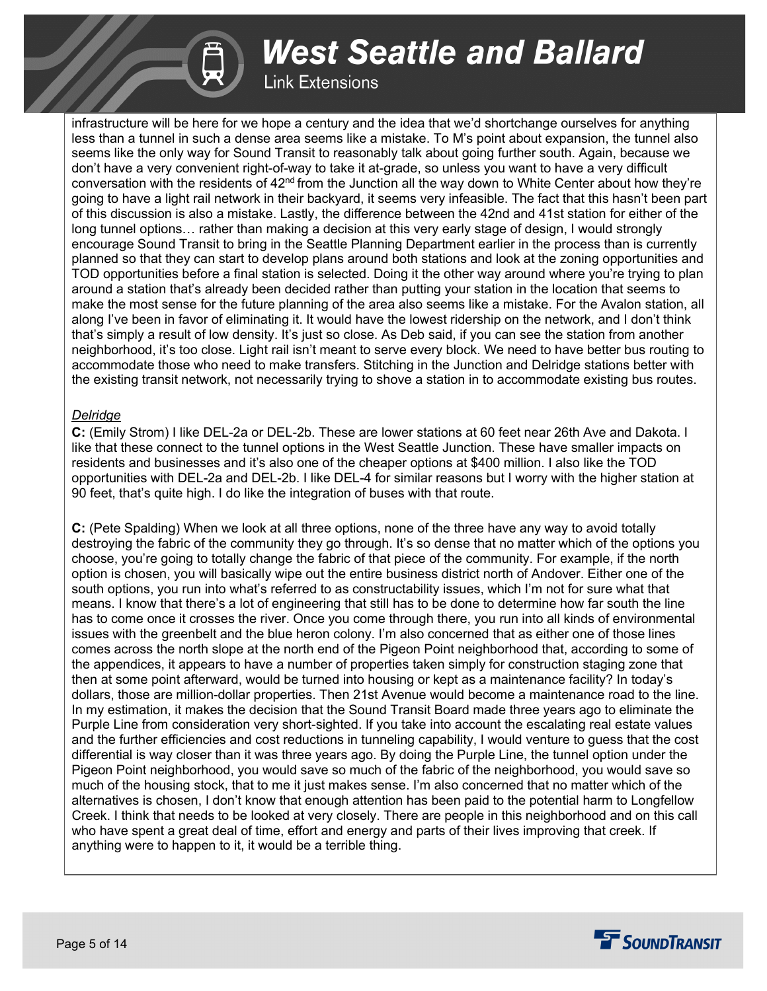### **Link Extensions**

infrastructure will be here for we hope a century and the idea that we'd shortchange ourselves for anything less than a tunnel in such a dense area seems like a mistake. To M's point about expansion, the tunnel also seems like the only way for Sound Transit to reasonably talk about going further south. Again, because we don't have a very convenient right-of-way to take it at-grade, so unless you want to have a very difficult conversation with the residents of  $42<sup>nd</sup>$  from the Junction all the way down to White Center about how they're going to have a light rail network in their backyard, it seems very infeasible. The fact that this hasn't been part of this discussion is also a mistake. Lastly, the difference between the 42nd and 41st station for either of the long tunnel options… rather than making a decision at this very early stage of design, I would strongly encourage Sound Transit to bring in the Seattle Planning Department earlier in the process than is currently planned so that they can start to develop plans around both stations and look at the zoning opportunities and TOD opportunities before a final station is selected. Doing it the other way around where you're trying to plan around a station that's already been decided rather than putting your station in the location that seems to make the most sense for the future planning of the area also seems like a mistake. For the Avalon station, all along I've been in favor of eliminating it. It would have the lowest ridership on the network, and I don't think that's simply a result of low density. It's just so close. As Deb said, if you can see the station from another neighborhood, it's too close. Light rail isn't meant to serve every block. We need to have better bus routing to accommodate those who need to make transfers. Stitching in the Junction and Delridge stations better with the existing transit network, not necessarily trying to shove a station in to accommodate existing bus routes.

### *Delridge*

**C:** (Emily Strom) I like DEL-2a or DEL-2b. These are lower stations at 60 feet near 26th Ave and Dakota. I like that these connect to the tunnel options in the West Seattle Junction. These have smaller impacts on residents and businesses and it's also one of the cheaper options at \$400 million. I also like the TOD opportunities with DEL-2a and DEL-2b. I like DEL-4 for similar reasons but I worry with the higher station at 90 feet, that's quite high. I do like the integration of buses with that route.

**C:** (Pete Spalding) When we look at all three options, none of the three have any way to avoid totally destroying the fabric of the community they go through. It's so dense that no matter which of the options you choose, you're going to totally change the fabric of that piece of the community. For example, if the north option is chosen, you will basically wipe out the entire business district north of Andover. Either one of the south options, you run into what's referred to as constructability issues, which I'm not for sure what that means. I know that there's a lot of engineering that still has to be done to determine how far south the line has to come once it crosses the river. Once you come through there, you run into all kinds of environmental issues with the greenbelt and the blue heron colony. I'm also concerned that as either one of those lines comes across the north slope at the north end of the Pigeon Point neighborhood that, according to some of the appendices, it appears to have a number of properties taken simply for construction staging zone that then at some point afterward, would be turned into housing or kept as a maintenance facility? In today's dollars, those are million-dollar properties. Then 21st Avenue would become a maintenance road to the line. In my estimation, it makes the decision that the Sound Transit Board made three years ago to eliminate the Purple Line from consideration very short-sighted. If you take into account the escalating real estate values and the further efficiencies and cost reductions in tunneling capability, I would venture to guess that the cost differential is way closer than it was three years ago. By doing the Purple Line, the tunnel option under the Pigeon Point neighborhood, you would save so much of the fabric of the neighborhood, you would save so much of the housing stock, that to me it just makes sense. I'm also concerned that no matter which of the alternatives is chosen, I don't know that enough attention has been paid to the potential harm to Longfellow Creek. I think that needs to be looked at very closely. There are people in this neighborhood and on this call who have spent a great deal of time, effort and energy and parts of their lives improving that creek. If anything were to happen to it, it would be a terrible thing.

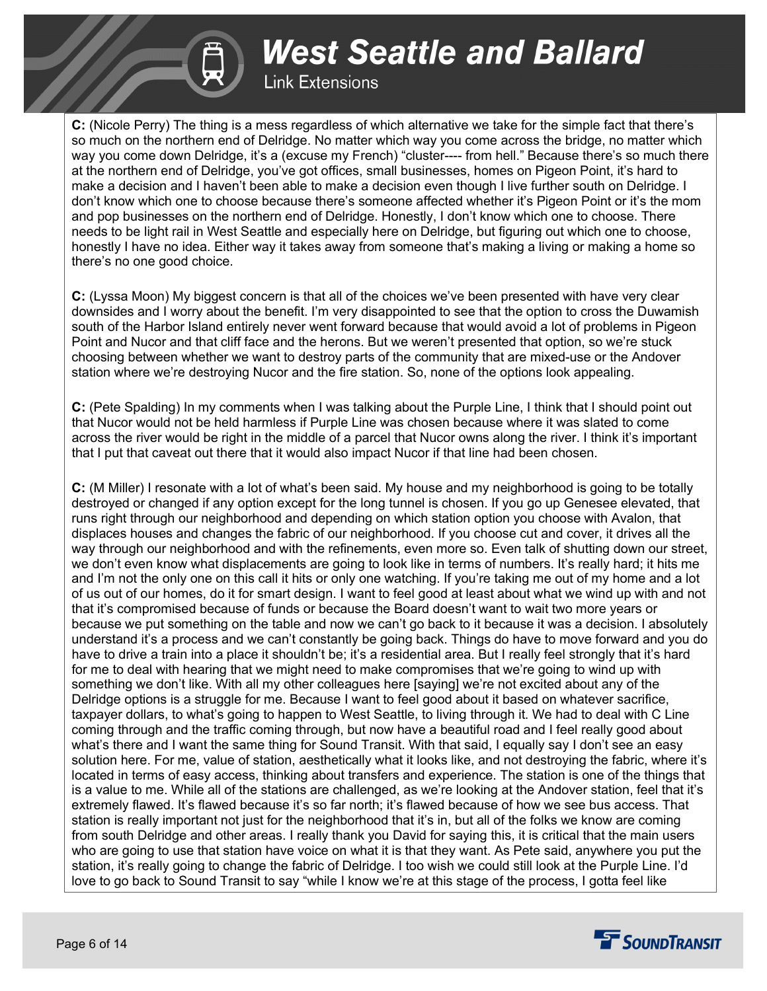## **Link Extensions**

**C:** (Nicole Perry) The thing is a mess regardless of which alternative we take for the simple fact that there's so much on the northern end of Delridge. No matter which way you come across the bridge, no matter which way you come down Delridge, it's a (excuse my French) "cluster---- from hell." Because there's so much there at the northern end of Delridge, you've got offices, small businesses, homes on Pigeon Point, it's hard to make a decision and I haven't been able to make a decision even though I live further south on Delridge. I don't know which one to choose because there's someone affected whether it's Pigeon Point or it's the mom and pop businesses on the northern end of Delridge. Honestly, I don't know which one to choose. There needs to be light rail in West Seattle and especially here on Delridge, but figuring out which one to choose, honestly I have no idea. Either way it takes away from someone that's making a living or making a home so there's no one good choice.

**C:** (Lyssa Moon) My biggest concern is that all of the choices we've been presented with have very clear downsides and I worry about the benefit. I'm very disappointed to see that the option to cross the Duwamish south of the Harbor Island entirely never went forward because that would avoid a lot of problems in Pigeon Point and Nucor and that cliff face and the herons. But we weren't presented that option, so we're stuck choosing between whether we want to destroy parts of the community that are mixed-use or the Andover station where we're destroying Nucor and the fire station. So, none of the options look appealing.

**C:** (Pete Spalding) In my comments when I was talking about the Purple Line, I think that I should point out that Nucor would not be held harmless if Purple Line was chosen because where it was slated to come across the river would be right in the middle of a parcel that Nucor owns along the river. I think it's important that I put that caveat out there that it would also impact Nucor if that line had been chosen.

**C:** (M Miller) I resonate with a lot of what's been said. My house and my neighborhood is going to be totally destroyed or changed if any option except for the long tunnel is chosen. If you go up Genesee elevated, that runs right through our neighborhood and depending on which station option you choose with Avalon, that displaces houses and changes the fabric of our neighborhood. If you choose cut and cover, it drives all the way through our neighborhood and with the refinements, even more so. Even talk of shutting down our street, we don't even know what displacements are going to look like in terms of numbers. It's really hard; it hits me and I'm not the only one on this call it hits or only one watching. If you're taking me out of my home and a lot of us out of our homes, do it for smart design. I want to feel good at least about what we wind up with and not that it's compromised because of funds or because the Board doesn't want to wait two more years or because we put something on the table and now we can't go back to it because it was a decision. I absolutely understand it's a process and we can't constantly be going back. Things do have to move forward and you do have to drive a train into a place it shouldn't be; it's a residential area. But I really feel strongly that it's hard for me to deal with hearing that we might need to make compromises that we're going to wind up with something we don't like. With all my other colleagues here [saying] we're not excited about any of the Delridge options is a struggle for me. Because I want to feel good about it based on whatever sacrifice, taxpayer dollars, to what's going to happen to West Seattle, to living through it. We had to deal with C Line coming through and the traffic coming through, but now have a beautiful road and I feel really good about what's there and I want the same thing for Sound Transit. With that said, I equally say I don't see an easy solution here. For me, value of station, aesthetically what it looks like, and not destroying the fabric, where it's located in terms of easy access, thinking about transfers and experience. The station is one of the things that is a value to me. While all of the stations are challenged, as we're looking at the Andover station, feel that it's extremely flawed. It's flawed because it's so far north; it's flawed because of how we see bus access. That station is really important not just for the neighborhood that it's in, but all of the folks we know are coming from south Delridge and other areas. I really thank you David for saying this, it is critical that the main users who are going to use that station have voice on what it is that they want. As Pete said, anywhere you put the station, it's really going to change the fabric of Delridge. I too wish we could still look at the Purple Line. I'd love to go back to Sound Transit to say "while I know we're at this stage of the process, I gotta feel like

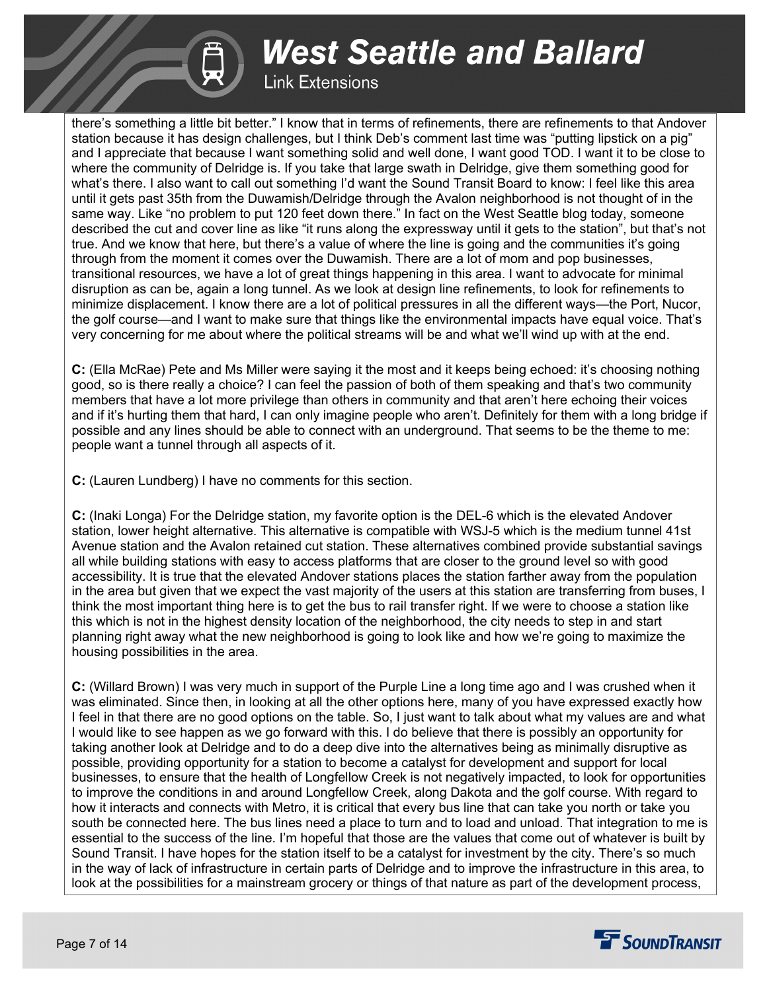## **Link Extensions**

there's something a little bit better." I know that in terms of refinements, there are refinements to that Andover station because it has design challenges, but I think Deb's comment last time was "putting lipstick on a pig" and I appreciate that because I want something solid and well done, I want good TOD. I want it to be close to where the community of Delridge is. If you take that large swath in Delridge, give them something good for what's there. I also want to call out something I'd want the Sound Transit Board to know: I feel like this area until it gets past 35th from the Duwamish/Delridge through the Avalon neighborhood is not thought of in the same way. Like "no problem to put 120 feet down there." In fact on the West Seattle blog today, someone described the cut and cover line as like "it runs along the expressway until it gets to the station", but that's not true. And we know that here, but there's a value of where the line is going and the communities it's going through from the moment it comes over the Duwamish. There are a lot of mom and pop businesses, transitional resources, we have a lot of great things happening in this area. I want to advocate for minimal disruption as can be, again a long tunnel. As we look at design line refinements, to look for refinements to minimize displacement. I know there are a lot of political pressures in all the different ways—the Port, Nucor, the golf course—and I want to make sure that things like the environmental impacts have equal voice. That's very concerning for me about where the political streams will be and what we'll wind up with at the end.

**C:** (Ella McRae) Pete and Ms Miller were saying it the most and it keeps being echoed: it's choosing nothing good, so is there really a choice? I can feel the passion of both of them speaking and that's two community members that have a lot more privilege than others in community and that aren't here echoing their voices and if it's hurting them that hard, I can only imagine people who aren't. Definitely for them with a long bridge if possible and any lines should be able to connect with an underground. That seems to be the theme to me: people want a tunnel through all aspects of it.

**C:** (Lauren Lundberg) I have no comments for this section.

**C:** (Inaki Longa) For the Delridge station, my favorite option is the DEL-6 which is the elevated Andover station, lower height alternative. This alternative is compatible with WSJ-5 which is the medium tunnel 41st Avenue station and the Avalon retained cut station. These alternatives combined provide substantial savings all while building stations with easy to access platforms that are closer to the ground level so with good accessibility. It is true that the elevated Andover stations places the station farther away from the population in the area but given that we expect the vast majority of the users at this station are transferring from buses, I think the most important thing here is to get the bus to rail transfer right. If we were to choose a station like this which is not in the highest density location of the neighborhood, the city needs to step in and start planning right away what the new neighborhood is going to look like and how we're going to maximize the housing possibilities in the area.

**C:** (Willard Brown) I was very much in support of the Purple Line a long time ago and I was crushed when it was eliminated. Since then, in looking at all the other options here, many of you have expressed exactly how I feel in that there are no good options on the table. So, I just want to talk about what my values are and what I would like to see happen as we go forward with this. I do believe that there is possibly an opportunity for taking another look at Delridge and to do a deep dive into the alternatives being as minimally disruptive as possible, providing opportunity for a station to become a catalyst for development and support for local businesses, to ensure that the health of Longfellow Creek is not negatively impacted, to look for opportunities to improve the conditions in and around Longfellow Creek, along Dakota and the golf course. With regard to how it interacts and connects with Metro, it is critical that every bus line that can take you north or take you south be connected here. The bus lines need a place to turn and to load and unload. That integration to me is essential to the success of the line. I'm hopeful that those are the values that come out of whatever is built by Sound Transit. I have hopes for the station itself to be a catalyst for investment by the city. There's so much in the way of lack of infrastructure in certain parts of Delridge and to improve the infrastructure in this area, to look at the possibilities for a mainstream grocery or things of that nature as part of the development process,

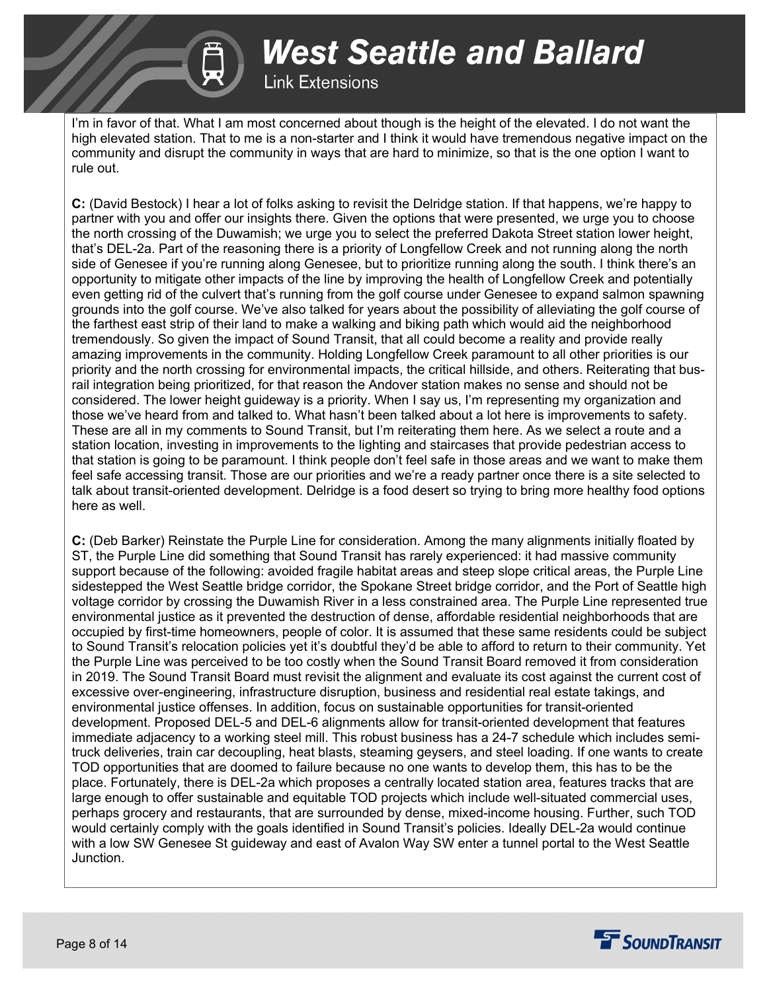**West Seattle and Ballard Link Extensions** 

I'm in favor of that. What I am most concerned about though is the height of the elevated. I do not want the high elevated station. That to me is a non-starter and I think it would have tremendous negative impact on the community and disrupt the community in ways that are hard to minimize, so that is the one option I want to rule out.

**C:** (David Bestock) I hear a lot of folks asking to revisit the Delridge station. If that happens, we're happy to partner with you and offer our insights there. Given the options that were presented, we urge you to choose the north crossing of the Duwamish; we urge you to select the preferred Dakota Street station lower height, that's DEL-2a. Part of the reasoning there is a priority of Longfellow Creek and not running along the north side of Genesee if you're running along Genesee, but to prioritize running along the south. I think there's an opportunity to mitigate other impacts of the line by improving the health of Longfellow Creek and potentially even getting rid of the culvert that's running from the golf course under Genesee to expand salmon spawning grounds into the golf course. We've also talked for years about the possibility of alleviating the golf course of the farthest east strip of their land to make a walking and biking path which would aid the neighborhood tremendously. So given the impact of Sound Transit, that all could become a reality and provide really amazing improvements in the community. Holding Longfellow Creek paramount to all other priorities is our priority and the north crossing for environmental impacts, the critical hillside, and others. Reiterating that busrail integration being prioritized, for that reason the Andover station makes no sense and should not be considered. The lower height guideway is a priority. When I say us, I'm representing my organization and those we've heard from and talked to. What hasn't been talked about a lot here is improvements to safety. These are all in my comments to Sound Transit, but I'm reiterating them here. As we select a route and a station location, investing in improvements to the lighting and staircases that provide pedestrian access to that station is going to be paramount. I think people don't feel safe in those areas and we want to make them feel safe accessing transit. Those are our priorities and we're a ready partner once there is a site selected to talk about transit-oriented development. Delridge is a food desert so trying to bring more healthy food options here as well.

**C:** (Deb Barker) Reinstate the Purple Line for consideration. Among the many alignments initially floated by ST, the Purple Line did something that Sound Transit has rarely experienced: it had massive community support because of the following: avoided fragile habitat areas and steep slope critical areas, the Purple Line sidestepped the West Seattle bridge corridor, the Spokane Street bridge corridor, and the Port of Seattle high voltage corridor by crossing the Duwamish River in a less constrained area. The Purple Line represented true environmental justice as it prevented the destruction of dense, affordable residential neighborhoods that are occupied by first-time homeowners, people of color. It is assumed that these same residents could be subject to Sound Transit's relocation policies yet it's doubtful they'd be able to afford to return to their community. Yet the Purple Line was perceived to be too costly when the Sound Transit Board removed it from consideration in 2019. The Sound Transit Board must revisit the alignment and evaluate its cost against the current cost of excessive over-engineering, infrastructure disruption, business and residential real estate takings, and environmental justice offenses. In addition, focus on sustainable opportunities for transit-oriented development. Proposed DEL-5 and DEL-6 alignments allow for transit-oriented development that features immediate adjacency to a working steel mill. This robust business has a 24-7 schedule which includes semitruck deliveries, train car decoupling, heat blasts, steaming geysers, and steel loading. If one wants to create TOD opportunities that are doomed to failure because no one wants to develop them, this has to be the place. Fortunately, there is DEL-2a which proposes a centrally located station area, features tracks that are large enough to offer sustainable and equitable TOD projects which include well-situated commercial uses, perhaps grocery and restaurants, that are surrounded by dense, mixed-income housing. Further, such TOD would certainly comply with the goals identified in Sound Transit's policies. Ideally DEL-2a would continue with a low SW Genesee St guideway and east of Avalon Way SW enter a tunnel portal to the West Seattle Junction.

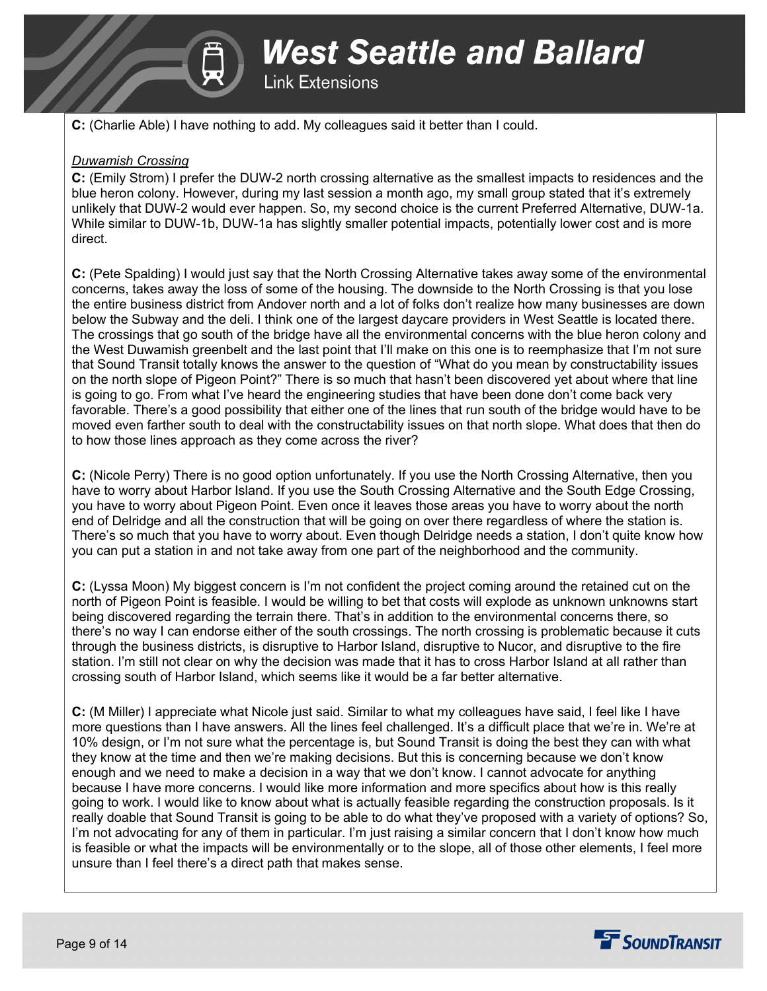

**Link Extensions** 

**C:** (Charlie Able) I have nothing to add. My colleagues said it better than I could.

### *Duwamish Crossing*

**C:** (Emily Strom) I prefer the DUW-2 north crossing alternative as the smallest impacts to residences and the blue heron colony. However, during my last session a month ago, my small group stated that it's extremely unlikely that DUW-2 would ever happen. So, my second choice is the current Preferred Alternative, DUW-1a. While similar to DUW-1b, DUW-1a has slightly smaller potential impacts, potentially lower cost and is more direct.

**C:** (Pete Spalding) I would just say that the North Crossing Alternative takes away some of the environmental concerns, takes away the loss of some of the housing. The downside to the North Crossing is that you lose the entire business district from Andover north and a lot of folks don't realize how many businesses are down below the Subway and the deli. I think one of the largest daycare providers in West Seattle is located there. The crossings that go south of the bridge have all the environmental concerns with the blue heron colony and the West Duwamish greenbelt and the last point that I'll make on this one is to reemphasize that I'm not sure that Sound Transit totally knows the answer to the question of "What do you mean by constructability issues on the north slope of Pigeon Point?" There is so much that hasn't been discovered yet about where that line is going to go. From what I've heard the engineering studies that have been done don't come back very favorable. There's a good possibility that either one of the lines that run south of the bridge would have to be moved even farther south to deal with the constructability issues on that north slope. What does that then do to how those lines approach as they come across the river?

**C:** (Nicole Perry) There is no good option unfortunately. If you use the North Crossing Alternative, then you have to worry about Harbor Island. If you use the South Crossing Alternative and the South Edge Crossing, you have to worry about Pigeon Point. Even once it leaves those areas you have to worry about the north end of Delridge and all the construction that will be going on over there regardless of where the station is. There's so much that you have to worry about. Even though Delridge needs a station, I don't quite know how you can put a station in and not take away from one part of the neighborhood and the community.

**C:** (Lyssa Moon) My biggest concern is I'm not confident the project coming around the retained cut on the north of Pigeon Point is feasible. I would be willing to bet that costs will explode as unknown unknowns start being discovered regarding the terrain there. That's in addition to the environmental concerns there, so there's no way I can endorse either of the south crossings. The north crossing is problematic because it cuts through the business districts, is disruptive to Harbor Island, disruptive to Nucor, and disruptive to the fire station. I'm still not clear on why the decision was made that it has to cross Harbor Island at all rather than crossing south of Harbor Island, which seems like it would be a far better alternative.

**C:** (M Miller) I appreciate what Nicole just said. Similar to what my colleagues have said, I feel like I have more questions than I have answers. All the lines feel challenged. It's a difficult place that we're in. We're at 10% design, or I'm not sure what the percentage is, but Sound Transit is doing the best they can with what they know at the time and then we're making decisions. But this is concerning because we don't know enough and we need to make a decision in a way that we don't know. I cannot advocate for anything because I have more concerns. I would like more information and more specifics about how is this really going to work. I would like to know about what is actually feasible regarding the construction proposals. Is it really doable that Sound Transit is going to be able to do what they've proposed with a variety of options? So, I'm not advocating for any of them in particular. I'm just raising a similar concern that I don't know how much is feasible or what the impacts will be environmentally or to the slope, all of those other elements, I feel more unsure than I feel there's a direct path that makes sense.

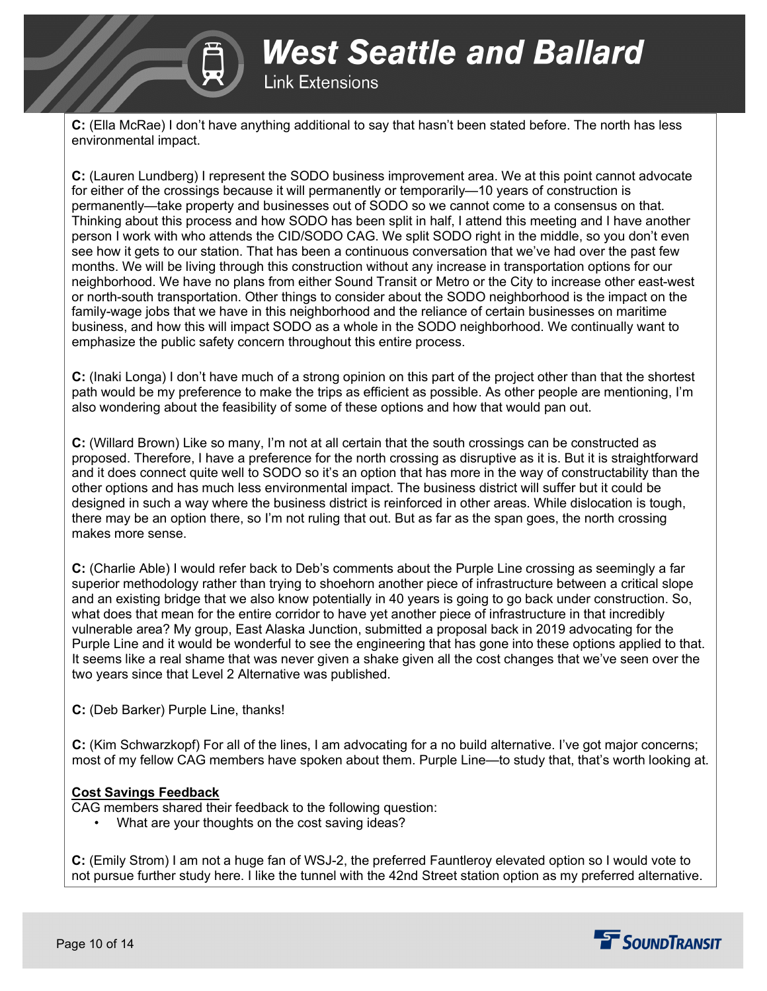

**West Seattle and Ballard Link Extensions** 

**C:** (Ella McRae) I don't have anything additional to say that hasn't been stated before. The north has less environmental impact.

**C:** (Lauren Lundberg) I represent the SODO business improvement area. We at this point cannot advocate for either of the crossings because it will permanently or temporarily—10 years of construction is permanently—take property and businesses out of SODO so we cannot come to a consensus on that. Thinking about this process and how SODO has been split in half, I attend this meeting and I have another person I work with who attends the CID/SODO CAG. We split SODO right in the middle, so you don't even see how it gets to our station. That has been a continuous conversation that we've had over the past few months. We will be living through this construction without any increase in transportation options for our neighborhood. We have no plans from either Sound Transit or Metro or the City to increase other east-west or north-south transportation. Other things to consider about the SODO neighborhood is the impact on the family-wage jobs that we have in this neighborhood and the reliance of certain businesses on maritime business, and how this will impact SODO as a whole in the SODO neighborhood. We continually want to emphasize the public safety concern throughout this entire process.

**C:** (Inaki Longa) I don't have much of a strong opinion on this part of the project other than that the shortest path would be my preference to make the trips as efficient as possible. As other people are mentioning, I'm also wondering about the feasibility of some of these options and how that would pan out.

**C:** (Willard Brown) Like so many, I'm not at all certain that the south crossings can be constructed as proposed. Therefore, I have a preference for the north crossing as disruptive as it is. But it is straightforward and it does connect quite well to SODO so it's an option that has more in the way of constructability than the other options and has much less environmental impact. The business district will suffer but it could be designed in such a way where the business district is reinforced in other areas. While dislocation is tough, there may be an option there, so I'm not ruling that out. But as far as the span goes, the north crossing makes more sense.

**C:** (Charlie Able) I would refer back to Deb's comments about the Purple Line crossing as seemingly a far superior methodology rather than trying to shoehorn another piece of infrastructure between a critical slope and an existing bridge that we also know potentially in 40 years is going to go back under construction. So, what does that mean for the entire corridor to have yet another piece of infrastructure in that incredibly vulnerable area? My group, East Alaska Junction, submitted a proposal back in 2019 advocating for the Purple Line and it would be wonderful to see the engineering that has gone into these options applied to that. It seems like a real shame that was never given a shake given all the cost changes that we've seen over the two years since that Level 2 Alternative was published.

**C:** (Deb Barker) Purple Line, thanks!

**C:** (Kim Schwarzkopf) For all of the lines, I am advocating for a no build alternative. I've got major concerns; most of my fellow CAG members have spoken about them. Purple Line—to study that, that's worth looking at.

### **Cost Savings Feedback**

CAG members shared their feedback to the following question:

What are your thoughts on the cost saving ideas?

**C:** (Emily Strom) I am not a huge fan of WSJ-2, the preferred Fauntleroy elevated option so I would vote to not pursue further study here. I like the tunnel with the 42nd Street station option as my preferred alternative.

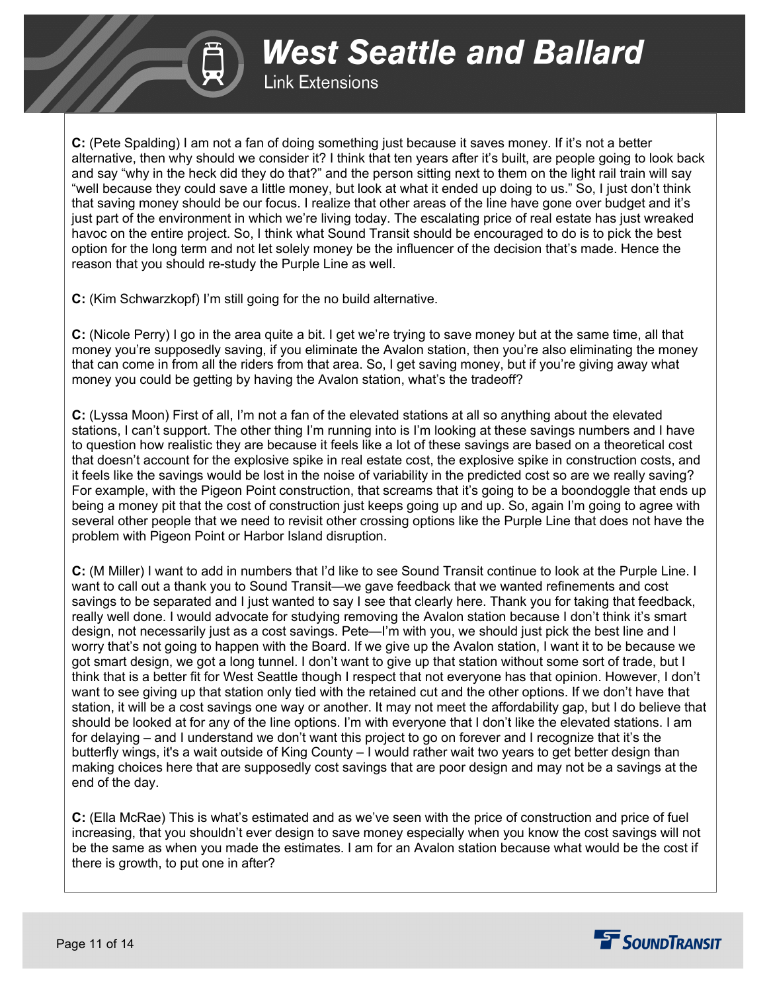

**C:** (Pete Spalding) I am not a fan of doing something just because it saves money. If it's not a better alternative, then why should we consider it? I think that ten years after it's built, are people going to look back and say "why in the heck did they do that?" and the person sitting next to them on the light rail train will say "well because they could save a little money, but look at what it ended up doing to us." So, I just don't think that saving money should be our focus. I realize that other areas of the line have gone over budget and it's just part of the environment in which we're living today. The escalating price of real estate has just wreaked havoc on the entire project. So, I think what Sound Transit should be encouraged to do is to pick the best option for the long term and not let solely money be the influencer of the decision that's made. Hence the reason that you should re-study the Purple Line as well.

**Link Extensions** 

**West Seattle and Ballard** 

**C:** (Kim Schwarzkopf) I'm still going for the no build alternative.

**C:** (Nicole Perry) I go in the area quite a bit. I get we're trying to save money but at the same time, all that money you're supposedly saving, if you eliminate the Avalon station, then you're also eliminating the money that can come in from all the riders from that area. So, I get saving money, but if you're giving away what money you could be getting by having the Avalon station, what's the tradeoff?

**C:** (Lyssa Moon) First of all, I'm not a fan of the elevated stations at all so anything about the elevated stations, I can't support. The other thing I'm running into is I'm looking at these savings numbers and I have to question how realistic they are because it feels like a lot of these savings are based on a theoretical cost that doesn't account for the explosive spike in real estate cost, the explosive spike in construction costs, and it feels like the savings would be lost in the noise of variability in the predicted cost so are we really saving? For example, with the Pigeon Point construction, that screams that it's going to be a boondoggle that ends up being a money pit that the cost of construction just keeps going up and up. So, again I'm going to agree with several other people that we need to revisit other crossing options like the Purple Line that does not have the problem with Pigeon Point or Harbor Island disruption.

**C:** (M Miller) I want to add in numbers that I'd like to see Sound Transit continue to look at the Purple Line. I want to call out a thank you to Sound Transit—we gave feedback that we wanted refinements and cost savings to be separated and I just wanted to say I see that clearly here. Thank you for taking that feedback, really well done. I would advocate for studying removing the Avalon station because I don't think it's smart design, not necessarily just as a cost savings. Pete—I'm with you, we should just pick the best line and I worry that's not going to happen with the Board. If we give up the Avalon station, I want it to be because we got smart design, we got a long tunnel. I don't want to give up that station without some sort of trade, but I think that is a better fit for West Seattle though I respect that not everyone has that opinion. However, I don't want to see giving up that station only tied with the retained cut and the other options. If we don't have that station, it will be a cost savings one way or another. It may not meet the affordability gap, but I do believe that should be looked at for any of the line options. I'm with everyone that I don't like the elevated stations. I am for delaying – and I understand we don't want this project to go on forever and I recognize that it's the butterfly wings, it's a wait outside of King County – I would rather wait two years to get better design than making choices here that are supposedly cost savings that are poor design and may not be a savings at the end of the day.

**C:** (Ella McRae) This is what's estimated and as we've seen with the price of construction and price of fuel increasing, that you shouldn't ever design to save money especially when you know the cost savings will not be the same as when you made the estimates. I am for an Avalon station because what would be the cost if there is growth, to put one in after?

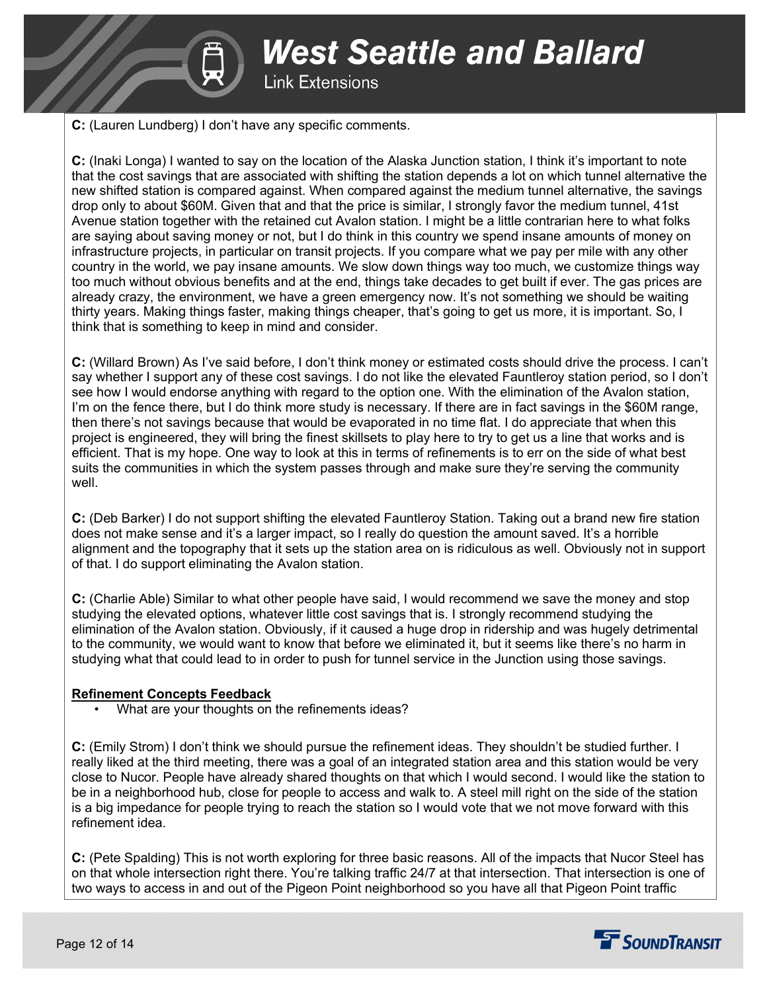

**C:** (Lauren Lundberg) I don't have any specific comments.

**C:** (Inaki Longa) I wanted to say on the location of the Alaska Junction station, I think it's important to note that the cost savings that are associated with shifting the station depends a lot on which tunnel alternative the new shifted station is compared against. When compared against the medium tunnel alternative, the savings drop only to about \$60M. Given that and that the price is similar, I strongly favor the medium tunnel, 41st Avenue station together with the retained cut Avalon station. I might be a little contrarian here to what folks are saying about saving money or not, but I do think in this country we spend insane amounts of money on infrastructure projects, in particular on transit projects. If you compare what we pay per mile with any other country in the world, we pay insane amounts. We slow down things way too much, we customize things way too much without obvious benefits and at the end, things take decades to get built if ever. The gas prices are already crazy, the environment, we have a green emergency now. It's not something we should be waiting thirty years. Making things faster, making things cheaper, that's going to get us more, it is important. So, I think that is something to keep in mind and consider.

**C:** (Willard Brown) As I've said before, I don't think money or estimated costs should drive the process. I can't say whether I support any of these cost savings. I do not like the elevated Fauntleroy station period, so I don't see how I would endorse anything with regard to the option one. With the elimination of the Avalon station, I'm on the fence there, but I do think more study is necessary. If there are in fact savings in the \$60M range, then there's not savings because that would be evaporated in no time flat. I do appreciate that when this project is engineered, they will bring the finest skillsets to play here to try to get us a line that works and is efficient. That is my hope. One way to look at this in terms of refinements is to err on the side of what best suits the communities in which the system passes through and make sure they're serving the community well.

**C:** (Deb Barker) I do not support shifting the elevated Fauntleroy Station. Taking out a brand new fire station does not make sense and it's a larger impact, so I really do question the amount saved. It's a horrible alignment and the topography that it sets up the station area on is ridiculous as well. Obviously not in support of that. I do support eliminating the Avalon station.

**C:** (Charlie Able) Similar to what other people have said, I would recommend we save the money and stop studying the elevated options, whatever little cost savings that is. I strongly recommend studying the elimination of the Avalon station. Obviously, if it caused a huge drop in ridership and was hugely detrimental to the community, we would want to know that before we eliminated it, but it seems like there's no harm in studying what that could lead to in order to push for tunnel service in the Junction using those savings.

### **Refinement Concepts Feedback**

What are your thoughts on the refinements ideas?

**C:** (Emily Strom) I don't think we should pursue the refinement ideas. They shouldn't be studied further. I really liked at the third meeting, there was a goal of an integrated station area and this station would be very close to Nucor. People have already shared thoughts on that which I would second. I would like the station to be in a neighborhood hub, close for people to access and walk to. A steel mill right on the side of the station is a big impedance for people trying to reach the station so I would vote that we not move forward with this refinement idea.

**C:** (Pete Spalding) This is not worth exploring for three basic reasons. All of the impacts that Nucor Steel has on that whole intersection right there. You're talking traffic 24/7 at that intersection. That intersection is one of two ways to access in and out of the Pigeon Point neighborhood so you have all that Pigeon Point traffic

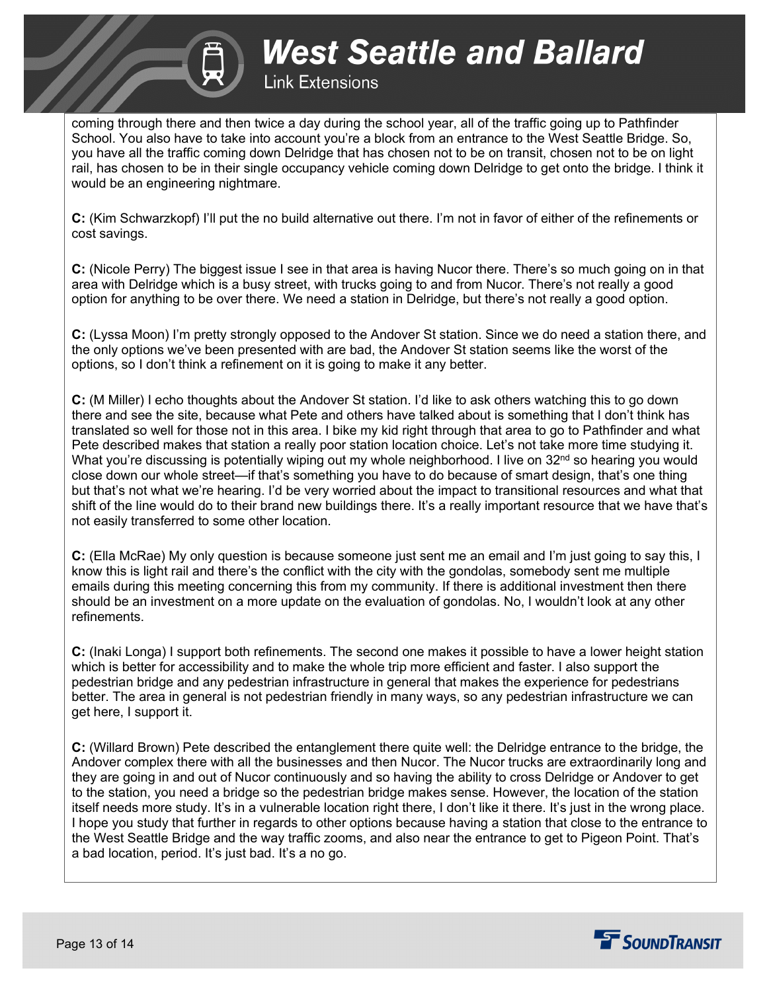

## **Link Extensions**

coming through there and then twice a day during the school year, all of the traffic going up to Pathfinder School. You also have to take into account you're a block from an entrance to the West Seattle Bridge. So, you have all the traffic coming down Delridge that has chosen not to be on transit, chosen not to be on light rail, has chosen to be in their single occupancy vehicle coming down Delridge to get onto the bridge. I think it would be an engineering nightmare.

**C:** (Kim Schwarzkopf) I'll put the no build alternative out there. I'm not in favor of either of the refinements or cost savings.

**C:** (Nicole Perry) The biggest issue I see in that area is having Nucor there. There's so much going on in that area with Delridge which is a busy street, with trucks going to and from Nucor. There's not really a good option for anything to be over there. We need a station in Delridge, but there's not really a good option.

**C:** (Lyssa Moon) I'm pretty strongly opposed to the Andover St station. Since we do need a station there, and the only options we've been presented with are bad, the Andover St station seems like the worst of the options, so I don't think a refinement on it is going to make it any better.

**C:** (M Miller) I echo thoughts about the Andover St station. I'd like to ask others watching this to go down there and see the site, because what Pete and others have talked about is something that I don't think has translated so well for those not in this area. I bike my kid right through that area to go to Pathfinder and what Pete described makes that station a really poor station location choice. Let's not take more time studying it. What you're discussing is potentially wiping out my whole neighborhood. I live on 32<sup>nd</sup> so hearing you would close down our whole street—if that's something you have to do because of smart design, that's one thing but that's not what we're hearing. I'd be very worried about the impact to transitional resources and what that shift of the line would do to their brand new buildings there. It's a really important resource that we have that's not easily transferred to some other location.

**C:** (Ella McRae) My only question is because someone just sent me an email and I'm just going to say this, I know this is light rail and there's the conflict with the city with the gondolas, somebody sent me multiple emails during this meeting concerning this from my community. If there is additional investment then there should be an investment on a more update on the evaluation of gondolas. No, I wouldn't look at any other refinements.

**C:** (Inaki Longa) I support both refinements. The second one makes it possible to have a lower height station which is better for accessibility and to make the whole trip more efficient and faster. I also support the pedestrian bridge and any pedestrian infrastructure in general that makes the experience for pedestrians better. The area in general is not pedestrian friendly in many ways, so any pedestrian infrastructure we can get here, I support it.

**C:** (Willard Brown) Pete described the entanglement there quite well: the Delridge entrance to the bridge, the Andover complex there with all the businesses and then Nucor. The Nucor trucks are extraordinarily long and they are going in and out of Nucor continuously and so having the ability to cross Delridge or Andover to get to the station, you need a bridge so the pedestrian bridge makes sense. However, the location of the station itself needs more study. It's in a vulnerable location right there, I don't like it there. It's just in the wrong place. I hope you study that further in regards to other options because having a station that close to the entrance to the West Seattle Bridge and the way traffic zooms, and also near the entrance to get to Pigeon Point. That's a bad location, period. It's just bad. It's a no go.